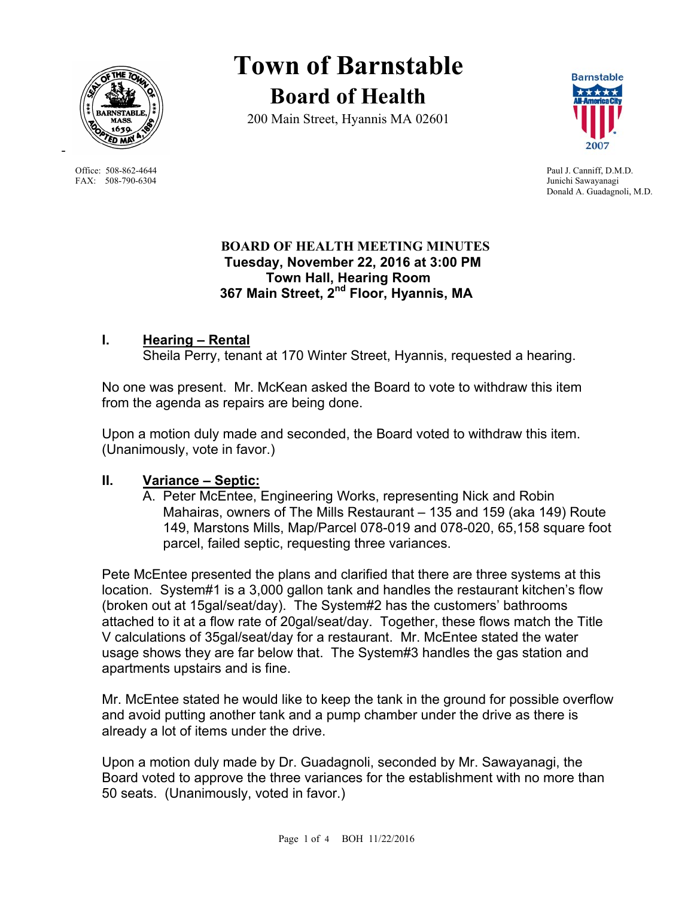

FAX: 508-790-6304 Junichi Sawayanagi

-

**Town of Barnstable Board of Health**

200 Main Street, Hyannis MA 02601



Office: 508-862-4644 Paul J. Canniff, D.M.D. Donald A. Guadagnoli, M.D.

### **BOARD OF HEALTH MEETING MINUTES Tuesday, November 22, 2016 at 3:00 PM Town Hall, Hearing Room 367 Main Street, 2nd Floor, Hyannis, MA**

### **I. Hearing – Rental**

Sheila Perry, tenant at 170 Winter Street, Hyannis, requested a hearing.

No one was present. Mr. McKean asked the Board to vote to withdraw this item from the agenda as repairs are being done.

Upon a motion duly made and seconded, the Board voted to withdraw this item. (Unanimously, vote in favor.)

#### **II. Variance – Septic:**

A. Peter McEntee, Engineering Works, representing Nick and Robin Mahairas, owners of The Mills Restaurant – 135 and 159 (aka 149) Route 149, Marstons Mills, Map/Parcel 078-019 and 078-020, 65,158 square foot parcel, failed septic, requesting three variances.

Pete McEntee presented the plans and clarified that there are three systems at this location. System#1 is a 3,000 gallon tank and handles the restaurant kitchen's flow (broken out at 15gal/seat/day). The System#2 has the customers' bathrooms attached to it at a flow rate of 20gal/seat/day. Together, these flows match the Title V calculations of 35gal/seat/day for a restaurant. Mr. McEntee stated the water usage shows they are far below that. The System#3 handles the gas station and apartments upstairs and is fine.

Mr. McEntee stated he would like to keep the tank in the ground for possible overflow and avoid putting another tank and a pump chamber under the drive as there is already a lot of items under the drive.

Upon a motion duly made by Dr. Guadagnoli, seconded by Mr. Sawayanagi, the Board voted to approve the three variances for the establishment with no more than 50 seats. (Unanimously, voted in favor.)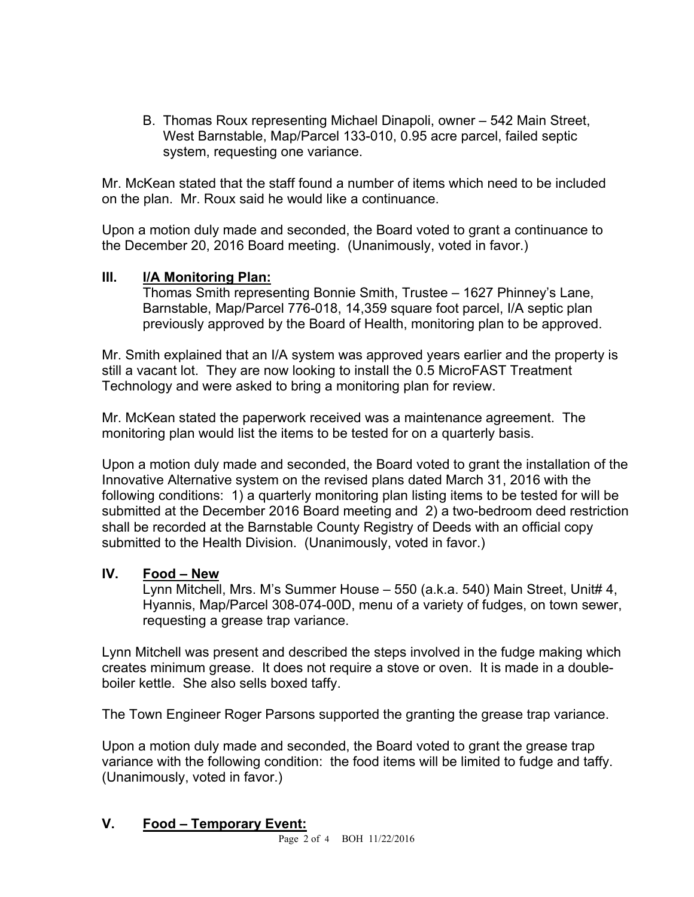B. Thomas Roux representing Michael Dinapoli, owner – 542 Main Street, West Barnstable, Map/Parcel 133-010, 0.95 acre parcel, failed septic system, requesting one variance.

Mr. McKean stated that the staff found a number of items which need to be included on the plan. Mr. Roux said he would like a continuance.

Upon a motion duly made and seconded, the Board voted to grant a continuance to the December 20, 2016 Board meeting. (Unanimously, voted in favor.)

# **III. I/A Monitoring Plan:**

Thomas Smith representing Bonnie Smith, Trustee – 1627 Phinney's Lane, Barnstable, Map/Parcel 776-018, 14,359 square foot parcel, I/A septic plan previously approved by the Board of Health, monitoring plan to be approved.

Mr. Smith explained that an I/A system was approved years earlier and the property is still a vacant lot. They are now looking to install the 0.5 MicroFAST Treatment Technology and were asked to bring a monitoring plan for review.

Mr. McKean stated the paperwork received was a maintenance agreement. The monitoring plan would list the items to be tested for on a quarterly basis.

Upon a motion duly made and seconded, the Board voted to grant the installation of the Innovative Alternative system on the revised plans dated March 31, 2016 with the following conditions: 1) a quarterly monitoring plan listing items to be tested for will be submitted at the December 2016 Board meeting and 2) a two-bedroom deed restriction shall be recorded at the Barnstable County Registry of Deeds with an official copy submitted to the Health Division. (Unanimously, voted in favor.)

# **IV. Food – New**

Lynn Mitchell, Mrs. M's Summer House – 550 (a.k.a. 540) Main Street, Unit# 4, Hyannis, Map/Parcel 308-074-00D, menu of a variety of fudges, on town sewer, requesting a grease trap variance.

Lynn Mitchell was present and described the steps involved in the fudge making which creates minimum grease. It does not require a stove or oven. It is made in a doubleboiler kettle. She also sells boxed taffy.

The Town Engineer Roger Parsons supported the granting the grease trap variance.

Upon a motion duly made and seconded, the Board voted to grant the grease trap variance with the following condition: the food items will be limited to fudge and taffy. (Unanimously, voted in favor.)

**V. Food – Temporary Event:**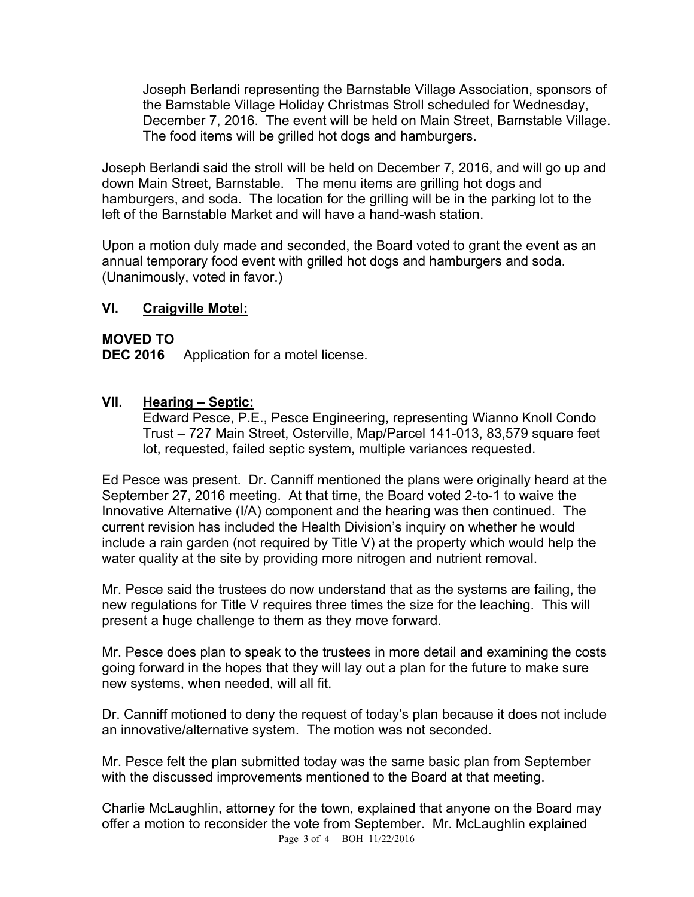Joseph Berlandi representing the Barnstable Village Association, sponsors of the Barnstable Village Holiday Christmas Stroll scheduled for Wednesday, December 7, 2016. The event will be held on Main Street, Barnstable Village. The food items will be grilled hot dogs and hamburgers.

Joseph Berlandi said the stroll will be held on December 7, 2016, and will go up and down Main Street, Barnstable. The menu items are grilling hot dogs and hamburgers, and soda. The location for the grilling will be in the parking lot to the left of the Barnstable Market and will have a hand-wash station.

Upon a motion duly made and seconded, the Board voted to grant the event as an annual temporary food event with grilled hot dogs and hamburgers and soda. (Unanimously, voted in favor.)

# **VI. Craigville Motel:**

#### **MOVED TO**

**DEC 2016** Application for a motel license.

### **VII. Hearing – Septic:**

Edward Pesce, P.E., Pesce Engineering, representing Wianno Knoll Condo Trust – 727 Main Street, Osterville, Map/Parcel 141-013, 83,579 square feet lot, requested, failed septic system, multiple variances requested.

Ed Pesce was present. Dr. Canniff mentioned the plans were originally heard at the September 27, 2016 meeting. At that time, the Board voted 2-to-1 to waive the Innovative Alternative (I/A) component and the hearing was then continued. The current revision has included the Health Division's inquiry on whether he would include a rain garden (not required by Title V) at the property which would help the water quality at the site by providing more nitrogen and nutrient removal.

Mr. Pesce said the trustees do now understand that as the systems are failing, the new regulations for Title V requires three times the size for the leaching. This will present a huge challenge to them as they move forward.

Mr. Pesce does plan to speak to the trustees in more detail and examining the costs going forward in the hopes that they will lay out a plan for the future to make sure new systems, when needed, will all fit.

Dr. Canniff motioned to deny the request of today's plan because it does not include an innovative/alternative system. The motion was not seconded.

Mr. Pesce felt the plan submitted today was the same basic plan from September with the discussed improvements mentioned to the Board at that meeting.

Page 3 of 4 BOH 11/22/2016 Charlie McLaughlin, attorney for the town, explained that anyone on the Board may offer a motion to reconsider the vote from September. Mr. McLaughlin explained